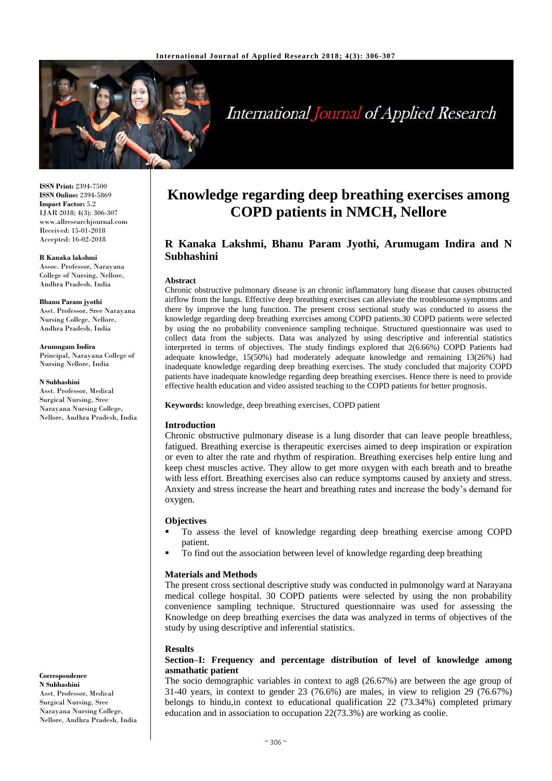

# **International Journal of Applied Research**

**ISSN Print:** 2394-7500 **ISSN Online:** 2394-5869 **Impact Factor:** 5.2 IJAR 2018; 4(3): 306-307 www.allresearchjournal.com Received: 15-01-2018 Accepted: 16-02-2018

#### **R Kanaka lakshmi**

Assoc. Professor, Narayana College of Nursing, Nellore, Andhra Pradesh, India

**Bhanu Param jyothi** Asst. Professor, Sree Narayana Nursing College, Nellore, Andhra Pradesh, India

**Arumugam Indira** Principal, Narayana College of Nursing Nellore, India

**N Subhashini** Asst. Professor, Medical Surgical Nursing, Sree Narayana Nursing College, Nellore, Andhra Pradesh, India

**Correspondence N Subhashini**  Asst. Professor, Medical Surgical Nursing, Sree Narayana Nursing College, Nellore, Andhra Pradesh, India

# **Knowledge regarding deep breathing exercises among COPD patients in NMCH, Nellore**

# **R Kanaka Lakshmi, Bhanu Param Jyothi, Arumugam Indira and N Subhashini**

#### **Abstract**

Chronic obstructive pulmonary disease is an chronic inflammatory lung disease that causes obstructed airflow from the lungs. Effective deep breathing exercises can alleviate the troublesome symptoms and there by improve the lung function. The present cross sectional study was conducted to assess the knowledge regarding deep breathing exercises among COPD patients.30 COPD patients were selected by using the no probability convenience sampling technique. Structured questionnaire was used to collect data from the subjects. Data was analyzed by using descriptive and inferential statistics interpreted in terms of objectives. The study findings explored that 2(6.66%) COPD Patients had adequate knowledge, 15(50%) had moderately adequate knowledge and remaining 13(26%) had inadequate knowledge regarding deep breathing exercises. The study concluded that majority COPD patients have inadequate knowledge regarding deep breathing exercises. Hence there is need to provide effective health education and video assisted teaching to the COPD patients for better prognosis.

**Keywords:** knowledge, deep breathing exercises, COPD patient

#### **Introduction**

Chronic obstructive pulmonary disease is a lung disorder that can leave people breathless, fatigued. Breathing exercise is therapeutic exercises aimed to deep inspiration or expiration or even to alter the rate and rhythm of respiration. Breathing exercises help entire lung and keep chest muscles active. They allow to get more oxygen with each breath and to breathe with less effort. Breathing exercises also can reduce symptoms caused by anxiety and stress. Anxiety and stress increase the heart and breathing rates and increase the body's demand for oxygen.

#### **Objectives**

- To assess the level of knowledge regarding deep breathing exercise among COPD patient.
- To find out the association between level of knowledge regarding deep breathing

#### **Materials and Methods**

The present cross sectional descriptive study was conducted in pulmonolgy ward at Narayana medical college hospital. 30 COPD patients were selected by using the non probability convenience sampling technique. Structured questionnaire was used for assessing the Knowledge on deep breathing exercises the data was analyzed in terms of objectives of the study by using descriptive and inferential statistics.

#### **Results**

# **Section–I: Frequency and percentage distribution of level of knowledge among asmathatic patient**

The socio demographic variables in context to ag8 (26.67%) are between the age group of 31-40 years, in context to gender 23 (76.6%) are males, in view to religion 29 (76.67%) belongs to hindu,in context to educational qualification 22 (73.34%) completed primary education and in association to occupation 22(73.3%) are working as coolie.